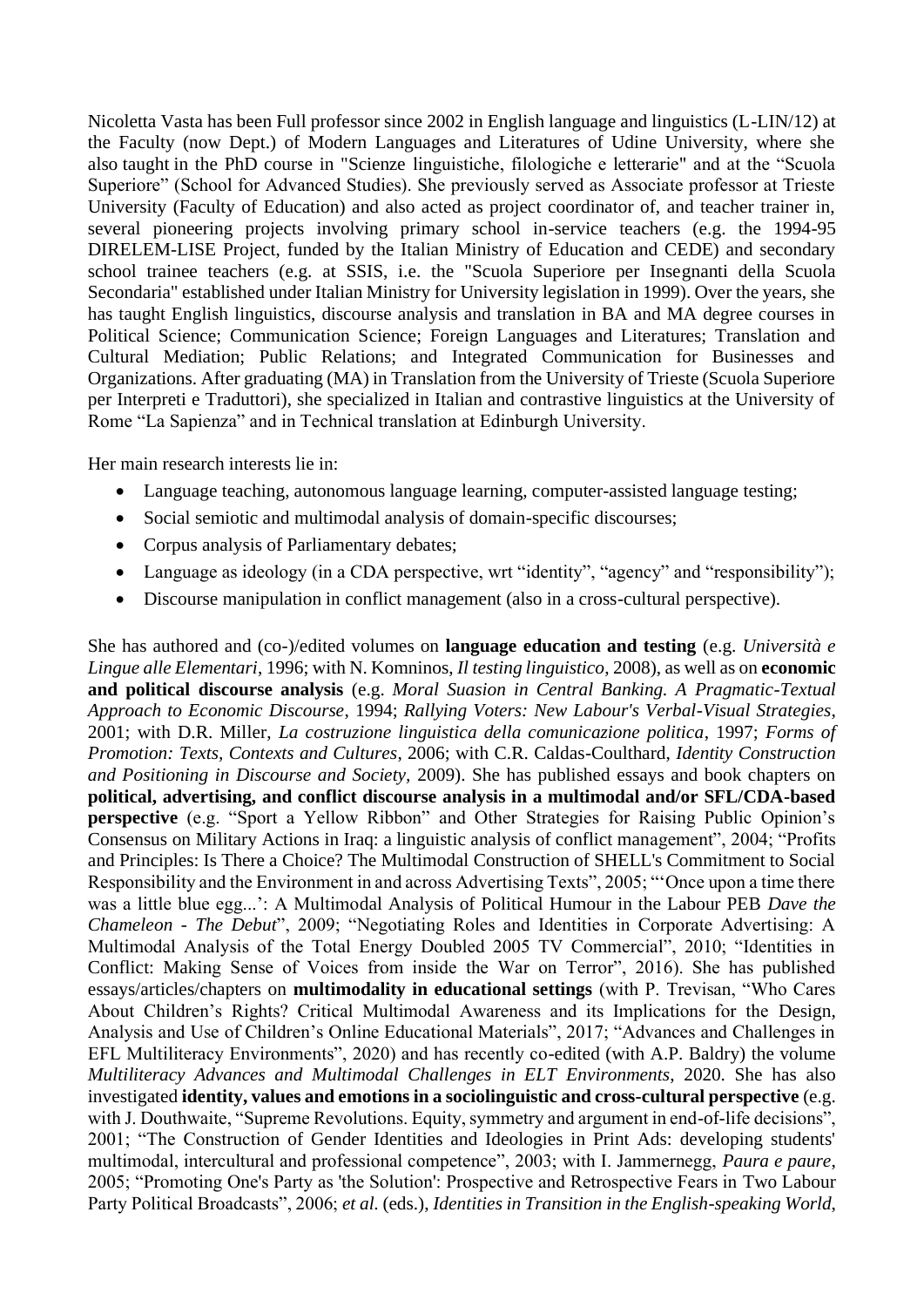Nicoletta Vasta has been Full professor since 2002 in English language and linguistics (L-LIN/12) at the Faculty (now Dept.) of Modern Languages and Literatures of Udine University, where she also taught in the PhD course in "Scienze linguistiche, filologiche e letterarie" and at the "Scuola Superiore" (School for Advanced Studies). She previously served as Associate professor at Trieste University (Faculty of Education) and also acted as project coordinator of, and teacher trainer in, several pioneering projects involving primary school in-service teachers (e.g. the 1994-95 DIRELEM-LISE Project, funded by the Italian Ministry of Education and CEDE) and secondary school trainee teachers (e.g. at SSIS, i.e. the "Scuola Superiore per Insegnanti della Scuola Secondaria" established under Italian Ministry for University legislation in 1999). Over the years, she has taught English linguistics, discourse analysis and translation in BA and MA degree courses in Political Science; Communication Science; Foreign Languages and Literatures; Translation and Cultural Mediation; Public Relations; and Integrated Communication for Businesses and Organizations. After graduating (MA) in Translation from the University of Trieste (Scuola Superiore per Interpreti e Traduttori), she specialized in Italian and contrastive linguistics at the University of Rome "La Sapienza" and in Technical translation at Edinburgh University.

Her main research interests lie in:

- Language teaching, autonomous language learning, computer-assisted language testing;
- Social semiotic and multimodal analysis of domain-specific discourses;
- Corpus analysis of Parliamentary debates;
- Language as ideology (in a CDA perspective, wrt "identity", "agency" and "responsibility");
- Discourse manipulation in conflict management (also in a cross-cultural perspective).

She has authored and (co-)/edited volumes on **language education and testing** (e.g. *Università e Lingue alle Elementari*, 1996; with N. Komninos, *Il testing linguistico*, 2008), as well as on **economic and political discourse analysis** (e.g. *Moral Suasion in Central Banking. A Pragmatic-Textual Approach to Economic Discourse*, 1994; *Rallying Voters: New Labour's Verbal-Visual Strategies*, 2001; with D.R. Miller, *La costruzione linguistica della comunicazione politica*, 1997; *Forms of Promotion: Texts, Contexts and Cultures*, 2006; with C.R. Caldas-Coulthard, *Identity Construction and Positioning in Discourse and Society,* 2009). She has published essays and book chapters on **political, advertising, and conflict discourse analysis in a multimodal and/or SFL/CDA-based perspective** (e.g. "Sport a Yellow Ribbon" and Other Strategies for Raising Public Opinion's Consensus on Military Actions in Iraq: a linguistic analysis of conflict management", 2004; "Profits and Principles: Is There a Choice? The Multimodal Construction of SHELL's Commitment to Social Responsibility and the Environment in and across Advertising Texts", 2005; "'Once upon a time there was a little blue egg...': A Multimodal Analysis of Political Humour in the Labour PEB *Dave the Chameleon - The Debut*", 2009; "Negotiating Roles and Identities in Corporate Advertising: A Multimodal Analysis of the Total Energy Doubled 2005 TV Commercial", 2010; "Identities in Conflict: Making Sense of Voices from inside the War on Terror", 2016). She has published essays/articles/chapters on **multimodality in educational settings** (with P. Trevisan, "Who Cares About Children's Rights? Critical Multimodal Awareness and its Implications for the Design, Analysis and Use of Children's Online Educational Materials", 2017; "Advances and Challenges in EFL Multiliteracy Environments", 2020) and has recently co-edited (with A.P. Baldry) the volume *Multiliteracy Advances and Multimodal Challenges in ELT Environments*, 2020. She has also investigated **identity, values and emotions in a sociolinguistic and cross-cultural perspective** (e.g. with J. Douthwaite, "Supreme Revolutions. Equity, symmetry and argument in end-of-life decisions", 2001; "The Construction of Gender Identities and Ideologies in Print Ads: developing students' multimodal, intercultural and professional competence", 2003; with I. Jammernegg, *Paura e paure*, 2005; "Promoting One's Party as 'the Solution': Prospective and Retrospective Fears in Two Labour Party Political Broadcasts", 2006; *et al.* (eds.), *Identities in Transition in the English-speaking World*,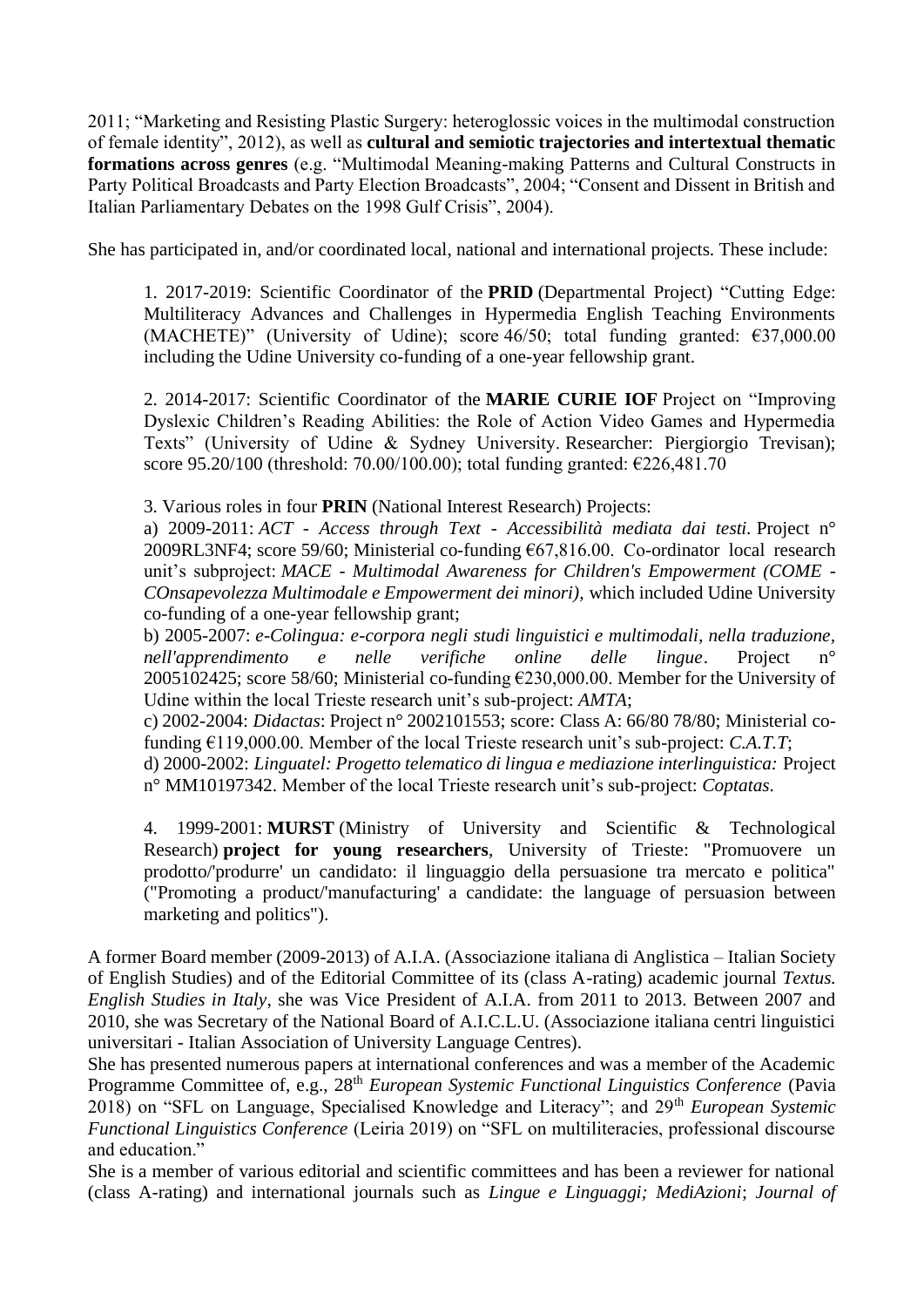2011; "Marketing and Resisting Plastic Surgery: heteroglossic voices in the multimodal construction of female identity", 2012), as well as **cultural and semiotic trajectories and intertextual thematic formations across genres** (e.g. "Multimodal Meaning-making Patterns and Cultural Constructs in Party Political Broadcasts and Party Election Broadcasts", 2004; "Consent and Dissent in British and Italian Parliamentary Debates on the 1998 Gulf Crisis", 2004).

She has participated in, and/or coordinated local, national and international projects. These include:

1. 2017-2019: Scientific Coordinator of the **PRID** (Departmental Project) "Cutting Edge: Multiliteracy Advances and Challenges in Hypermedia English Teaching Environments (MACHETE)" (University of Udine); score 46/50; total funding granted:  $\epsilon$ 37,000.00 including the Udine University co-funding of a one-year fellowship grant.

2. 2014-2017: Scientific Coordinator of the **MARIE CURIE IOF** Project on "Improving Dyslexic Children's Reading Abilities: the Role of Action Video Games and Hypermedia Texts" (University of Udine & Sydney University. Researcher: Piergiorgio Trevisan); score 95.20/100 (threshold: 70.00/100.00); total funding granted: €226,481.70

3. Various roles in four **PRIN** (National Interest Research) Projects:

a) 2009-2011: *ACT - Access through Text - Accessibilità mediata dai testi.* Project n° 2009RL3NF4; score 59/60; Ministerial co-funding €67,816.00. Co-ordinator local research unit's subproject: *MACE - Multimodal Awareness for Children's Empowerment (COME - COnsapevolezza Multimodale e Empowerment dei minori),* which included Udine University co-funding of a one-year fellowship grant;

b) 2005-2007: *e-Colingua: e-corpora negli studi linguistici e multimodali, nella traduzione, nell'apprendimento e nelle verifiche online delle lingue*. Project n° 2005102425; score 58/60; Ministerial co-funding €230,000.00. Member for the University of Udine within the local Trieste research unit's sub-project: *AMTA*;

c) 2002-2004: *Didactas*: Project n° 2002101553; score: Class A: 66/80 78/80; Ministerial cofunding €119,000.00. Member of the local Trieste research unit's sub-project: *C.A.T.T*;

d) 2000-2002: *Linguatel: Progetto telematico di lingua e mediazione interlinguistica:* Project n° MM10197342. Member of the local Trieste research unit's sub-project: *Coptatas*.

4. 1999-2001: **MURST** (Ministry of University and Scientific & Technological Research) **project for young researchers**, University of Trieste: "Promuovere un prodotto/'produrre' un candidato: il linguaggio della persuasione tra mercato e politica" ("Promoting a product/'manufacturing' a candidate: the language of persuasion between marketing and politics").

A former Board member (2009-2013) of A.I.A. (Associazione italiana di Anglistica – Italian Society of English Studies) and of the Editorial Committee of its (class A-rating) academic journal *Textus. English Studies in Italy*, she was Vice President of A.I.A. from 2011 to 2013. Between 2007 and 2010, she was Secretary of the National Board of A.I.C.L.U. (Associazione italiana centri linguistici universitari - Italian Association of University Language Centres).

She has presented numerous papers at international conferences and was a member of the Academic Programme Committee of, e.g., 28<sup>th</sup> *European Systemic Functional Linguistics Conference* (Pavia 2018) on "SFL on Language, Specialised Knowledge and Literacy"; and 29th *European Systemic Functional Linguistics Conference* (Leiria 2019) on "SFL on multiliteracies, professional discourse and education."

She is a member of various editorial and scientific committees and has been a reviewer for national (class A-rating) and international journals such as *Lingue e Linguaggi; MediAzioni*; *Journal of*